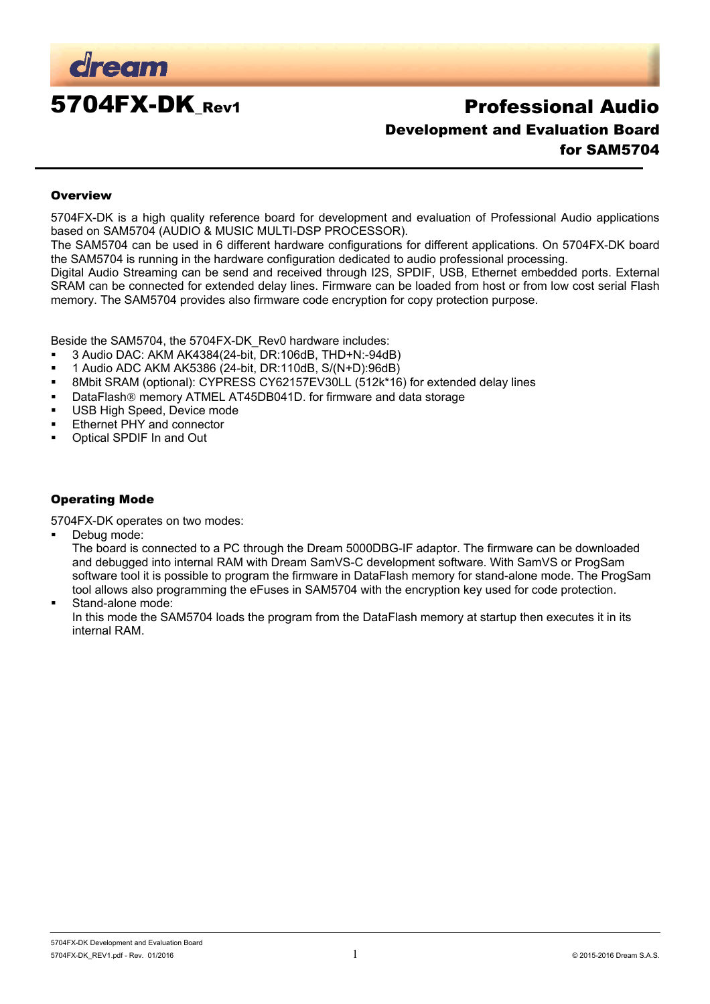

# 5704FX-DK\_Rev1 Professional Audio Development and Evaluation Board for SAM5704

#### **Overview**

5704FX-DK is a high quality reference board for development and evaluation of Professional Audio applications based on SAM5704 (AUDIO & MUSIC MULTI-DSP PROCESSOR).

The SAM5704 can be used in 6 different hardware configurations for different applications. On 5704FX-DK board the SAM5704 is running in the hardware configuration dedicated to audio professional processing.

Digital Audio Streaming can be send and received through I2S, SPDIF, USB, Ethernet embedded ports. External SRAM can be connected for extended delay lines. Firmware can be loaded from host or from low cost serial Flash memory. The SAM5704 provides also firmware code encryption for copy protection purpose.

Beside the SAM5704, the 5704FX-DK\_Rev0 hardware includes:

- 3 Audio DAC: AKM AK4384(24-bit, DR:106dB, THD+N:-94dB)
- 1 Audio ADC AKM AK5386 (24-bit, DR:110dB, S/(N+D):96dB)
- 8Mbit SRAM (optional): CYPRESS CY62157EV30LL (512k\*16) for extended delay lines
- DataFlash<sup>®</sup> memory ATMEL AT45DB041D. for firmware and data storage
- **USB High Speed, Device mode**
- **Ethernet PHY and connector**
- Optical SPDIF In and Out

#### Operating Mode

5704FX-DK operates on two modes:

Debug mode:

The board is connected to a PC through the Dream 5000DBG-IF adaptor. The firmware can be downloaded and debugged into internal RAM with Dream SamVS-C development software. With SamVS or ProgSam software tool it is possible to program the firmware in DataFlash memory for stand-alone mode. The ProgSam tool allows also programming the eFuses in SAM5704 with the encryption key used for code protection.

Stand-alone mode:

In this mode the SAM5704 loads the program from the DataFlash memory at startup then executes it in its internal RAM.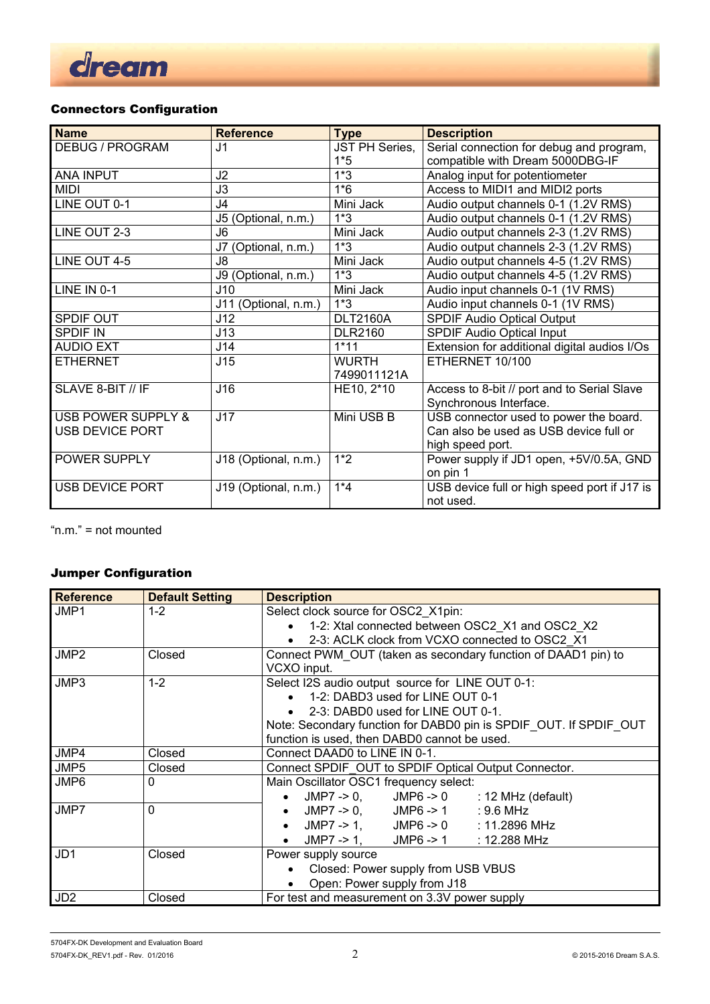

# Connectors Configuration

| <b>Name</b>            | <b>Reference</b>       | <b>Type</b>     | <b>Description</b>                           |
|------------------------|------------------------|-----------------|----------------------------------------------|
| <b>DEBUG / PROGRAM</b> | J <sub>1</sub>         | JST PH Series,  | Serial connection for debug and program,     |
|                        |                        | $1*5$           | compatible with Dream 5000DBG-IF             |
| <b>ANA INPUT</b>       | J2                     | $1*3$           | Analog input for potentiometer               |
| <b>MIDI</b>            | J3                     | $1*6$           | Access to MIDI1 and MIDI2 ports              |
| LINE OUT 0-1           | J4                     | Mini Jack       | Audio output channels 0-1 (1.2V RMS)         |
|                        | J5 (Optional, n.m.)    | $1*3$           | Audio output channels 0-1 (1.2V RMS)         |
| LINE OUT 2-3           | J6                     | Mini Jack       | Audio output channels 2-3 (1.2V RMS)         |
|                        | (Optional, n.m.)<br>J7 | $1*3$           | Audio output channels 2-3 (1.2V RMS)         |
| LINE OUT 4-5           | J8                     | Mini Jack       | Audio output channels 4-5 (1.2V RMS)         |
|                        | J9 (Optional, n.m.)    | $1*3$           | Audio output channels 4-5 (1.2V RMS)         |
| LINE IN 0-1            | J10                    | Mini Jack       | Audio input channels 0-1 (1V RMS)            |
|                        | J11 (Optional, n.m.)   | $1*3$           | Audio input channels 0-1 (1V RMS)            |
| SPDIF OUT              | J12                    | <b>DLT2160A</b> | SPDIF Audio Optical Output                   |
| <b>SPDIF IN</b>        | J13                    | <b>DLR2160</b>  | <b>SPDIF Audio Optical Input</b>             |
| <b>AUDIO EXT</b>       | J14                    | $1*11$          | Extension for additional digital audios I/Os |
| <b>ETHERNET</b>        | J15                    | WURTH           | ETHERNET 10/100                              |
|                        |                        | 7499011121A     |                                              |
| SLAVE 8-BIT // IF      | J16                    | HE10, 2*10      | Access to 8-bit // port and to Serial Slave  |
|                        |                        |                 | Synchronous Interface.                       |
| USB POWER SUPPLY &     | J17                    | Mini USB B      | USB connector used to power the board.       |
| <b>USB DEVICE PORT</b> |                        |                 | Can also be used as USB device full or       |
|                        |                        |                 | high speed port.                             |
| POWER SUPPLY           | J18 (Optional, n.m.)   | $1*2$           | Power supply if JD1 open, +5V/0.5A, GND      |
|                        |                        |                 | on pin 1                                     |
| <b>USB DEVICE PORT</b> | J19 (Optional, n.m.)   | $1*4$           | USB device full or high speed port if J17 is |
|                        |                        |                 | not used.                                    |

"n.m." = not mounted

### Jumper Configuration

| <b>Reference</b> | <b>Default Setting</b> | <b>Description</b>                                                |  |  |  |
|------------------|------------------------|-------------------------------------------------------------------|--|--|--|
| JMP1             | $1 - 2$                | Select clock source for OSC2 X1pin:                               |  |  |  |
|                  |                        | 1-2: Xtal connected between OSC2_X1 and OSC2_X2<br>$\bullet$      |  |  |  |
|                  |                        | 2-3: ACLK clock from VCXO connected to OSC2 X1<br>$\bullet$       |  |  |  |
| JMP <sub>2</sub> | Closed                 | Connect PWM OUT (taken as secondary function of DAAD1 pin) to     |  |  |  |
|                  |                        | VCXO input.                                                       |  |  |  |
| JMP3             | $1 - 2$                | Select I2S audio output source for LINE OUT 0-1:                  |  |  |  |
|                  |                        | • 1-2: DABD3 used for LINE OUT 0-1                                |  |  |  |
|                  |                        | 2-3: DABD0 used for LINE OUT 0-1.                                 |  |  |  |
|                  |                        | Note: Secondary function for DABD0 pin is SPDIF OUT. If SPDIF OUT |  |  |  |
|                  |                        | function is used, then DABD0 cannot be used.                      |  |  |  |
| JMP4             | Closed                 | Connect DAAD0 to LINE IN 0-1.                                     |  |  |  |
| JMP5             | Closed                 | Connect SPDIF OUT to SPDIF Optical Output Connector.              |  |  |  |
| JMP6             | 0                      | Main Oscillator OSC1 frequency select:                            |  |  |  |
|                  |                        | $JMP7 -> 0$ , $JMP6 -> 0$ : 12 MHz (default)                      |  |  |  |
| JMP7             | $\Omega$               | • JMP7 -> 0, JMP6 -> 1 : 9.6 MHz                                  |  |  |  |
|                  |                        | JMP7 -> 1, JMP6 -> 0 : 11.2896 MHz<br>$\bullet$                   |  |  |  |
|                  |                        | JMP7 -> 1, JMP6 -> 1 : 12.288 MHz<br>$\bullet$                    |  |  |  |
| JD <sub>1</sub>  | Closed                 | Power supply source                                               |  |  |  |
|                  |                        | Closed: Power supply from USB VBUS                                |  |  |  |
|                  |                        | Open: Power supply from J18<br>$\bullet$                          |  |  |  |
| JD <sub>2</sub>  | Closed                 | For test and measurement on 3.3V power supply                     |  |  |  |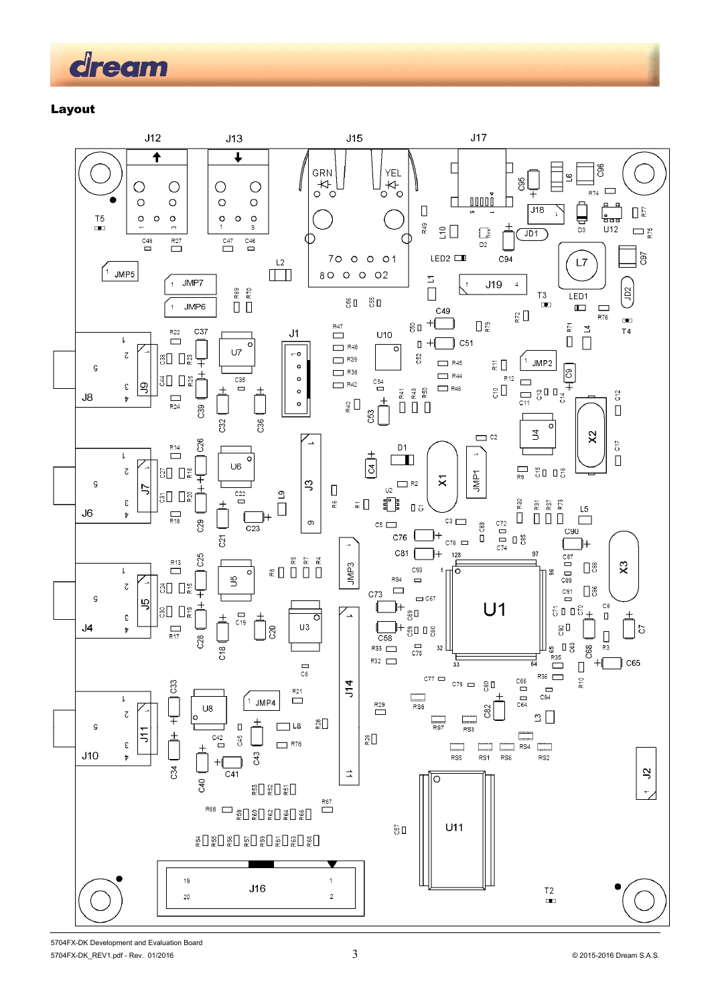

Layout

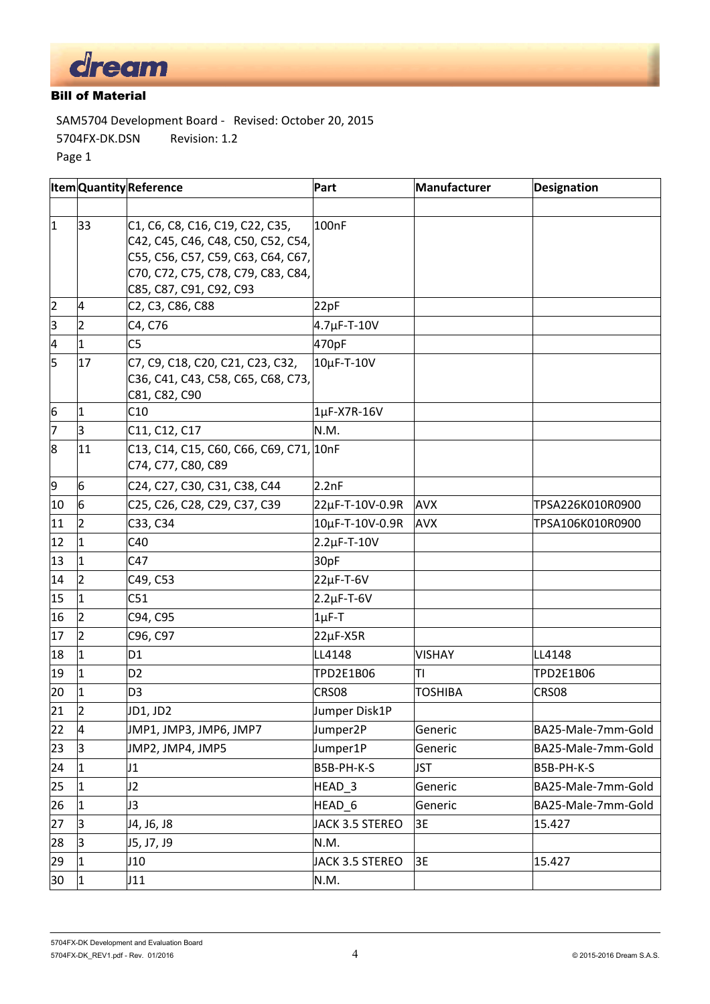

# Bill of Material

SAM5704 Development Board ‐ Revised: October 20, 2015 5704FX‐DK.DSN Revision: 1.2 Page 1

|                         | <b>ItemQuantityReference</b> |                                                                                                                                                                              | Part                   | Manufacturer   | <b>Designation</b> |
|-------------------------|------------------------------|------------------------------------------------------------------------------------------------------------------------------------------------------------------------------|------------------------|----------------|--------------------|
|                         |                              |                                                                                                                                                                              |                        |                |                    |
| $\mathbf{1}$            | 33                           | C1, C6, C8, C16, C19, C22, C35,<br>C42, C45, C46, C48, C50, C52, C54,<br>C55, C56, C57, C59, C63, C64, C67,<br>C70, C72, C75, C78, C79, C83, C84,<br>C85, C87, C91, C92, C93 | 100 <sub>n</sub> F     |                |                    |
| $\overline{2}$          | 4                            | C2, C3, C86, C88                                                                                                                                                             | 22pF                   |                |                    |
| $\overline{\mathbf{3}}$ | $\overline{2}$               | C4, C76                                                                                                                                                                      | $4.7 \mu$ F-T-10V      |                |                    |
| $\overline{\mathbf{4}}$ | $\mathbf{1}$                 | C <sub>5</sub>                                                                                                                                                               | 470pF                  |                |                    |
| 5                       | 17                           | C7, C9, C18, C20, C21, C23, C32,<br>C36, C41, C43, C58, C65, C68, C73,<br>C81, C82, C90                                                                                      | 10µF-T-10V             |                |                    |
| 6                       | $\mathbf{1}$                 | C10                                                                                                                                                                          | 1µF-X7R-16V            |                |                    |
| 7                       | 3                            | C11, C12, C17                                                                                                                                                                | N.M.                   |                |                    |
| 8                       | 11                           | C13, C14, C15, C60, C66, C69, C71, 10nF<br>C74, C77, C80, C89                                                                                                                |                        |                |                    |
| 9                       | 6                            | C24, C27, C30, C31, C38, C44                                                                                                                                                 | 2.2nF                  |                |                    |
| 10                      | 6                            | C25, C26, C28, C29, C37, C39                                                                                                                                                 | 22µF-T-10V-0.9R        | <b>AVX</b>     | TPSA226K010R0900   |
| 11                      | $\overline{2}$               | C33, C34                                                                                                                                                                     | 10µF-T-10V-0.9R        | <b>AVX</b>     | TPSA106K010R0900   |
| 12                      | $\mathbf{1}$                 | C40                                                                                                                                                                          | $2.2 \mu F - T - 10 V$ |                |                    |
| 13                      | 1                            | C47                                                                                                                                                                          | 30pF                   |                |                    |
| 14                      | $\overline{2}$               | C49, C53                                                                                                                                                                     | $22\mu$ F-T-6V         |                |                    |
| 15                      | $\mathbf{1}$                 | C51                                                                                                                                                                          | $2.2\mu$ F-T-6V        |                |                    |
| 16                      | $\overline{2}$               | C94, C95                                                                                                                                                                     | $1\mu$ F-T             |                |                    |
| 17                      | $\overline{2}$               | C96, C97                                                                                                                                                                     | 22µF-X5R               |                |                    |
| 18                      | $\mathbf{1}$                 | D <sub>1</sub>                                                                                                                                                               | LL4148                 | <b>VISHAY</b>  | LL4148             |
| 19                      | $\mathbf{1}$                 | D <sub>2</sub>                                                                                                                                                               | TPD2E1B06              | TI             | TPD2E1B06          |
| 20                      | 1                            | D <sub>3</sub>                                                                                                                                                               | CRS08                  | <b>TOSHIBA</b> | CRS08              |
| 21                      | $\overline{2}$               | JD1, JD2                                                                                                                                                                     | Jumper Disk1P          |                |                    |
| 22                      | $\overline{A}$               | JMP1, JMP3, JMP6, JMP7                                                                                                                                                       | Jumper2P               | Generic        | BA25-Male-7mm-Gold |
| 23                      | 3                            | JMP2, JMP4, JMP5                                                                                                                                                             | Jumper1P               | Generic        | BA25-Male-7mm-Gold |
| 24                      | $\mathbf{1}$                 | J1                                                                                                                                                                           | B5B-PH-K-S             | <b>JST</b>     | B5B-PH-K-S         |
| 25                      | $\mathbf{1}$                 | J2                                                                                                                                                                           | HEAD <sub>3</sub>      | Generic        | BA25-Male-7mm-Gold |
| 26                      | $\mathbf{1}$                 | J3                                                                                                                                                                           | HEAD_6                 | Generic        | BA25-Male-7mm-Gold |
| 27                      | 3                            | J4, J6, J8                                                                                                                                                                   | JACK 3.5 STEREO        | 3E             | 15.427             |
| 28                      | 3                            | J5, J7, J9                                                                                                                                                                   | N.M.                   |                |                    |
| 29                      | 1                            | J10                                                                                                                                                                          | JACK 3.5 STEREO        | 3E             | 15.427             |
| 30                      | $\mathbf{1}$                 | J11                                                                                                                                                                          | N.M.                   |                |                    |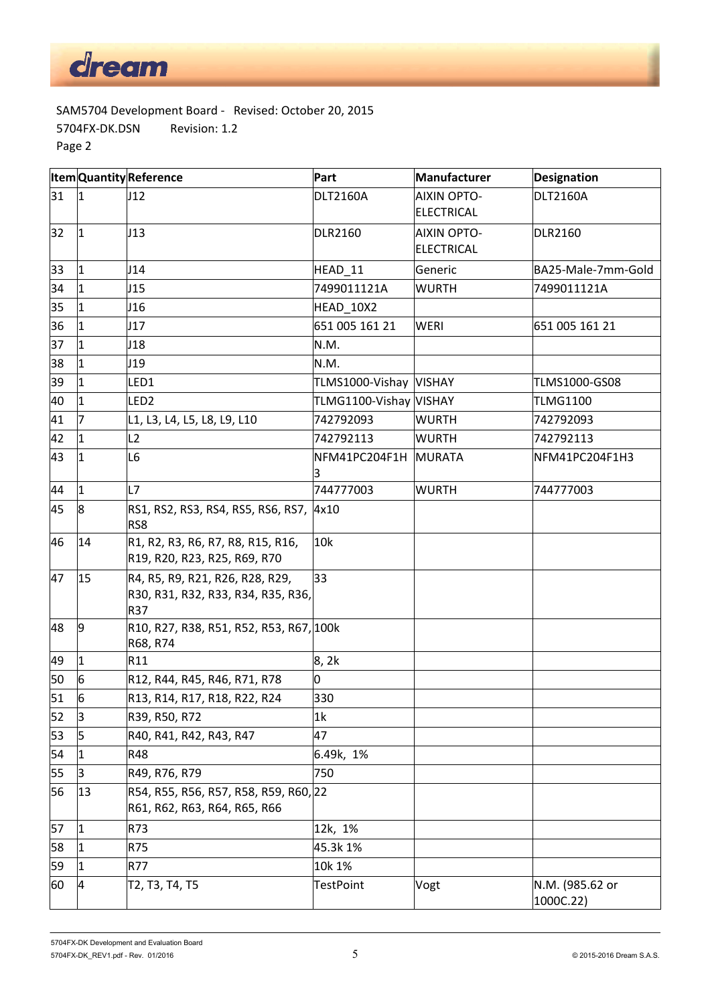

SAM5704 Development Board ‐ Revised: October 20, 2015 5704FX‐DK.DSN Revision: 1.2 Page 2

|    |                | <b>ItemQuantityReference</b>                                                 | Part                   | <b>Manufacturer</b>                     | Designation                  |
|----|----------------|------------------------------------------------------------------------------|------------------------|-----------------------------------------|------------------------------|
| 31 | $ 1\rangle$    | J12                                                                          | <b>DLT2160A</b>        | <b>AIXIN OPTO-</b><br><b>ELECTRICAL</b> | <b>DLT2160A</b>              |
| 32 | $\vert$ 1      | J13                                                                          | <b>DLR2160</b>         | <b>AIXIN OPTO-</b><br><b>ELECTRICAL</b> | <b>DLR2160</b>               |
| 33 | $\vert$ 1      | J14                                                                          | HEAD_11                | Generic                                 | BA25-Male-7mm-Gold           |
| 34 | $\vert$ 1      | J15                                                                          | 7499011121A            | <b>WURTH</b>                            | 7499011121A                  |
| 35 | $\mathbf{1}$   | J16                                                                          | HEAD_10X2              |                                         |                              |
| 36 | $\overline{1}$ | J17                                                                          | 651 005 161 21         | <b>WERI</b>                             | 651 005 161 21               |
| 37 | $\mathbf{1}$   | J18                                                                          | N.M.                   |                                         |                              |
| 38 | $\mathbf{1}$   | J19                                                                          | N.M.                   |                                         |                              |
| 39 | $\mathbf{1}$   | LED1                                                                         | TLMS1000-Vishay VISHAY |                                         | TLMS1000-GS08                |
| 40 | $\overline{1}$ | LED <sub>2</sub>                                                             | TLMG1100-Vishay VISHAY |                                         | <b>TLMG1100</b>              |
| 41 | 7              | L1, L3, L4, L5, L8, L9, L10                                                  | 742792093              | <b>WURTH</b>                            | 742792093                    |
| 42 | $\overline{1}$ | L2                                                                           | 742792113              | <b>WURTH</b>                            | 742792113                    |
| 43 | 1              | L6                                                                           | NFM41PC204F1H<br>3     | <b>MURATA</b>                           | NFM41PC204F1H3               |
| 44 | $\overline{1}$ | L7                                                                           | 744777003              | <b>WURTH</b>                            | 744777003                    |
| 45 | 8              | RS1, RS2, RS3, RS4, RS5, RS6, RS7,<br>RS8                                    | 4x10                   |                                         |                              |
| 46 | 14             | R1, R2, R3, R6, R7, R8, R15, R16,<br>R19, R20, R23, R25, R69, R70            | 10k                    |                                         |                              |
| 47 | 15             | R4, R5, R9, R21, R26, R28, R29,<br>R30, R31, R32, R33, R34, R35, R36,<br>R37 | 33                     |                                         |                              |
| 48 | 9              | R10, R27, R38, R51, R52, R53, R67, 100k<br>R68, R74                          |                        |                                         |                              |
| 49 | $\vert$ 1      | R11                                                                          | 8, 2k                  |                                         |                              |
| 50 | 6              | R12, R44, R45, R46, R71, R78                                                 | 0                      |                                         |                              |
| 51 | 6              | R13, R14, R17, R18, R22, R24                                                 | 330                    |                                         |                              |
| 52 | 3              | R39, R50, R72                                                                | 1 <sub>k</sub>         |                                         |                              |
| 53 | 5              | R40, R41, R42, R43, R47                                                      | 47                     |                                         |                              |
| 54 | $\mathbf{1}$   | R48                                                                          | 6.49k, 1%              |                                         |                              |
| 55 | 3              | R49, R76, R79                                                                | 750                    |                                         |                              |
| 56 | 13             | R54, R55, R56, R57, R58, R59, R60, 22<br>R61, R62, R63, R64, R65, R66        |                        |                                         |                              |
| 57 | $\mathbf{1}$   | R73                                                                          | 12k, 1%                |                                         |                              |
| 58 | $\mathbf{1}$   | R75                                                                          | 45.3k 1%               |                                         |                              |
| 59 | $\mathbf{1}$   | R77                                                                          | 10k 1%                 |                                         |                              |
| 60 | 4              | T2, T3, T4, T5                                                               | <b>TestPoint</b>       | Vogt                                    | N.M. (985.62 or<br>1000C.22) |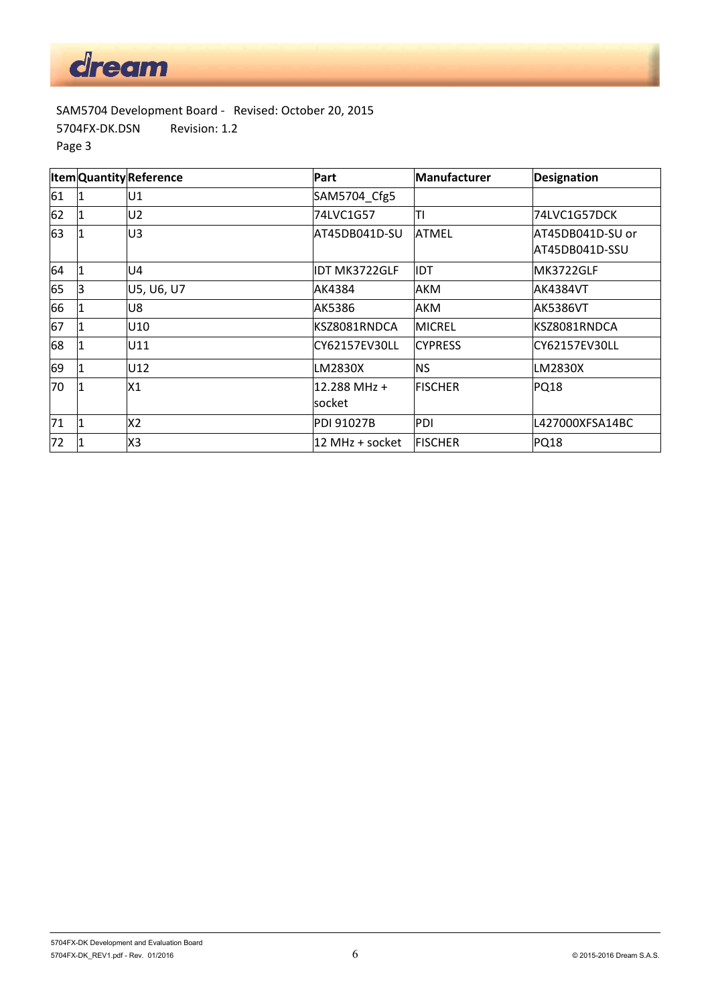

SAM5704 Development Board ‐ Revised: October 20, 2015 5704FX‐DK.DSN Revision: 1.2 Page 3

|    |             | <b>ItemQuantityReference</b> | Part                    | Manufacturer   | Designation                        |
|----|-------------|------------------------------|-------------------------|----------------|------------------------------------|
| 61 |             | U1                           | SAM5704 Cfg5            |                |                                    |
| 62 |             | U <sub>2</sub>               | 74LVC1G57               | l۳ı            | 74LVC1G57DCK                       |
| 63 |             | U3                           | AT45DB041D-SU           | <b>ATMEL</b>   | AT45DB041D-SU or<br>AT45DB041D-SSU |
| 64 | 1           | U4                           | IDT MK3722GLF           | IIDT           | MK3722GLF                          |
| 65 | 3           | U5, U6, U7                   | AK4384                  | <b>AKM</b>     | IAK4384VT                          |
| 66 |             | U8                           | AK5386                  | AKM            | AK5386VT                           |
| 67 | 1           | U10                          | KSZ8081RNDCA            | <b>MICREL</b>  | KSZ8081RNDCA                       |
| 68 |             | U11                          | CY62157EV30LL           | <b>CYPRESS</b> | CY62157EV30LL                      |
| 69 |             | U12                          | LM2830X                 | <b>NS</b>      | LM2830X                            |
| 70 |             | X1                           | 12.288 MHz +<br>lsocket | <b>FISCHER</b> | <b>PQ18</b>                        |
| 71 | $\mathbf 1$ | X2                           | <b>PDI 91027B</b>       | PDI            | L427000XFSA14BC                    |
| 72 |             | X3                           | 12 MHz + socket         | <b>FISCHER</b> | <b>PQ18</b>                        |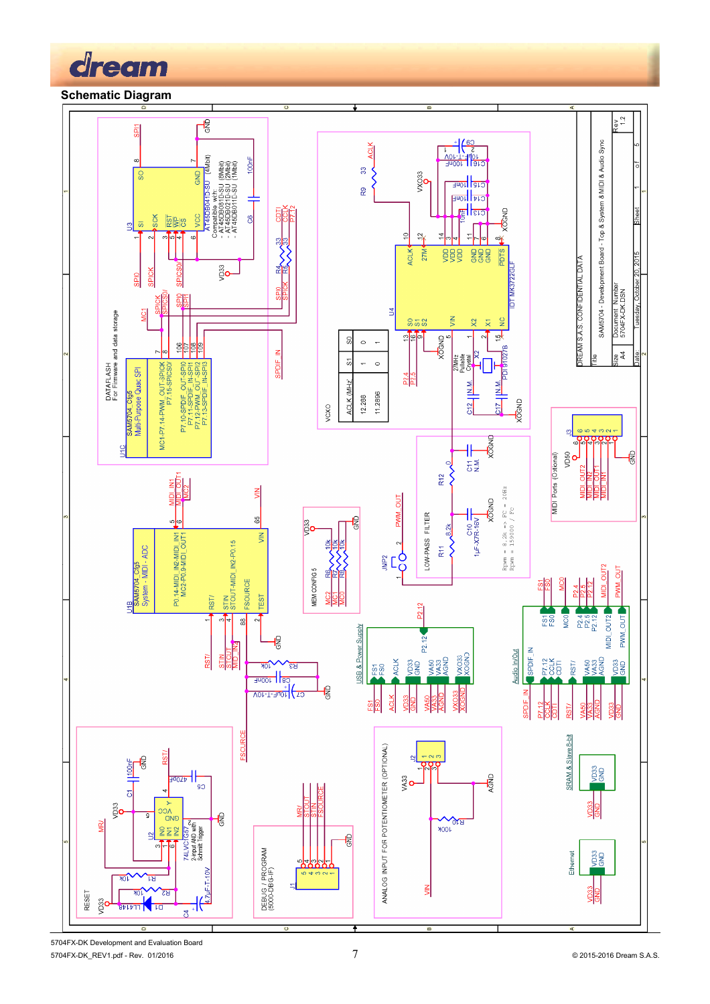

# **Schematic Diagram**



5704FX-DK Development and Evaluation Board 5704FX-DK\_REV1.pdf - Rev. 01/2016 7 © 2015-2016 Dream S.A.S.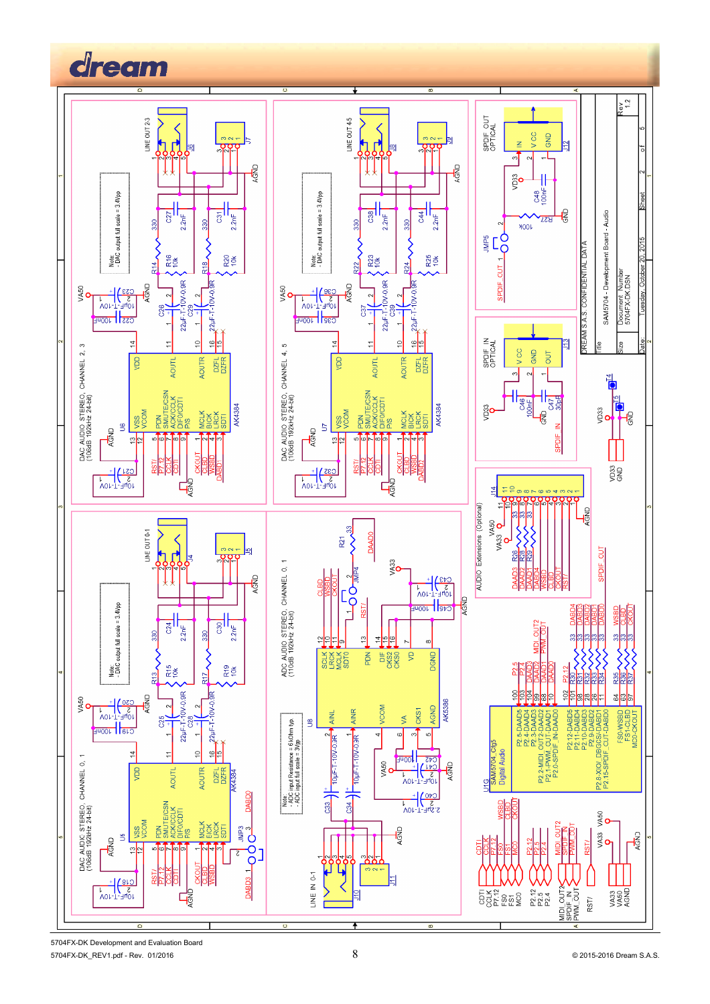

5704FX-DK Development and Evaluation Board 5704FX-DK\_REV1.pdf - Rev. 01/2016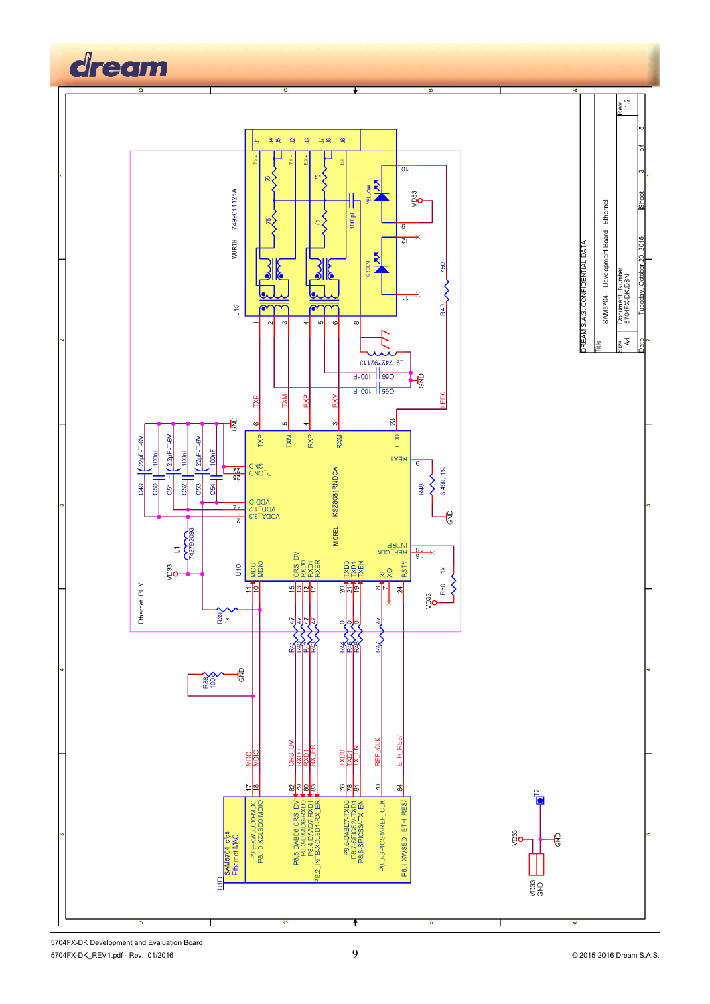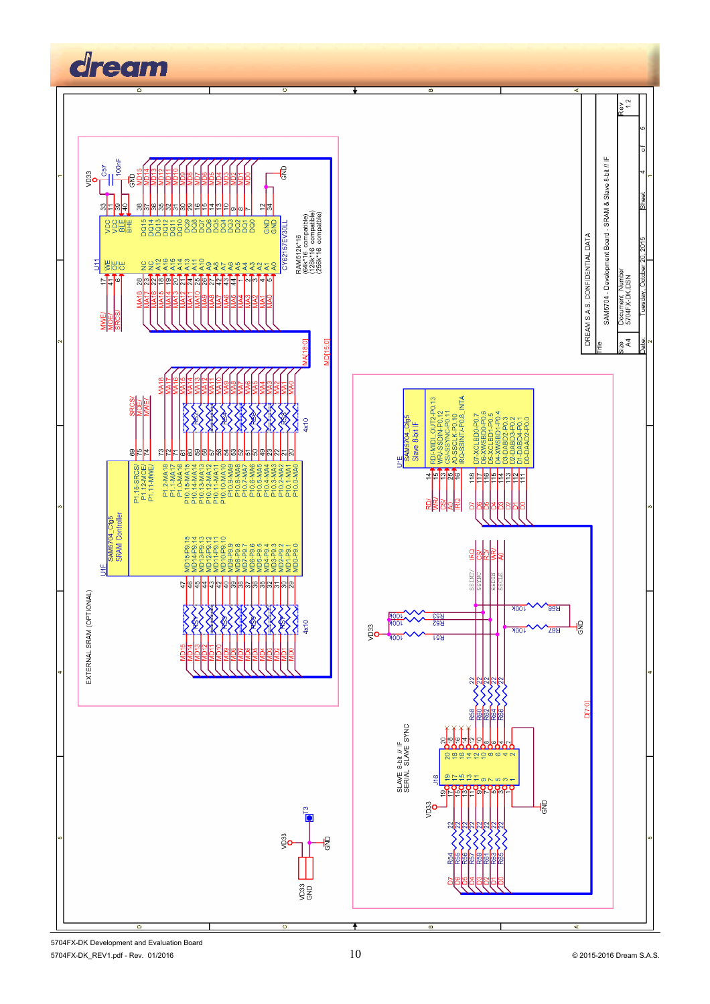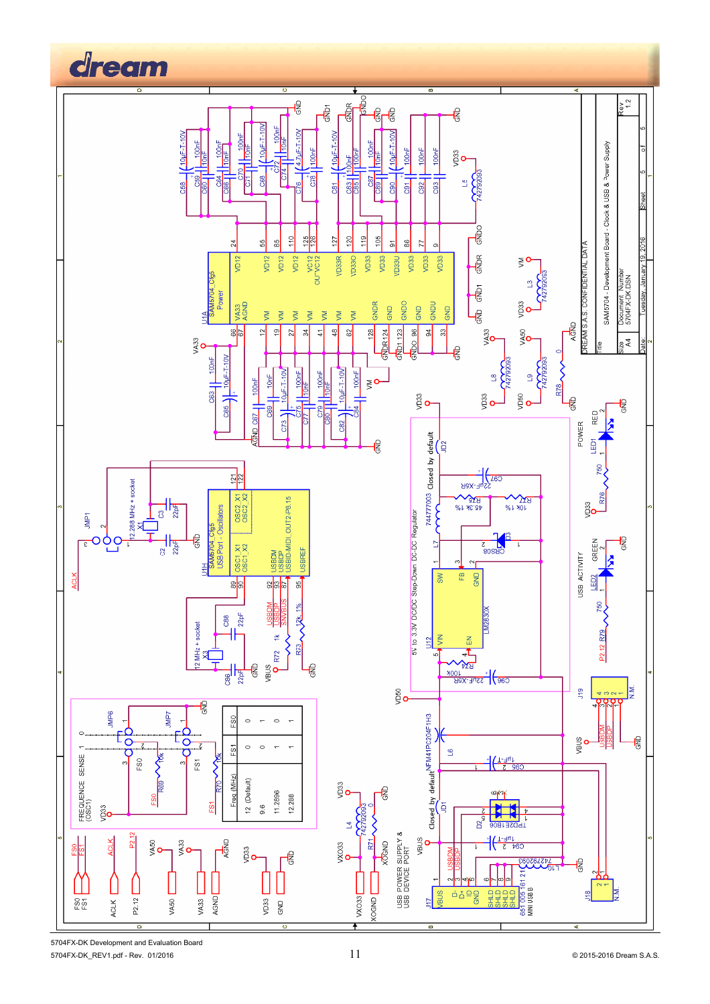

5704FX-DK Development and Evaluation Board 5704FX-DK\_REV1.pdf - Rev. 01/2016 11 2015-2016 Dream S.A.S.